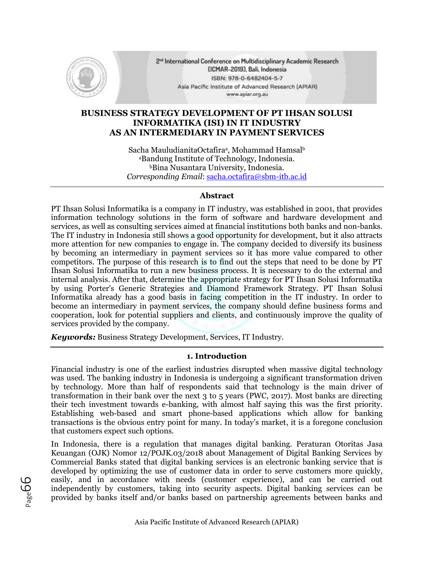

2<sup>nd</sup> International Conference on Multidisciplinary Academic Research (ICMAR-2019), Bali, Indonesia ISBN: 978-0-6482404-5-7 Asia Pacific Institute of Advanced Research (APIAR) www.apiar.org.au

# **BUSINESS STRATEGY DEVELOPMENT OF PT IHSAN SOLUSI INFORMATIKA (ISI) IN IT INDUSTRY AS AN INTERMEDIARY IN PAYMENT SERVICES**

Sacha MauludianitaOctafira<sup>a</sup>, Mohammad Hamsalb <sup>a</sup>Bandung Institute of Technology, Indonesia. <sup>b</sup>Bina Nusantara University, Indonesia. *Corresponding Email*: sacha.octafira@sbm-itb.ac.id

# **Abstract**

PT Ihsan Solusi Informatika is a company in IT industry, was established in 2001, that provides information technology solutions in the form of software and hardware development and services, as well as consulting services aimed at financial institutions both banks and non-banks. The IT industry in Indonesia still shows a good opportunity for development, but it also attracts more attention for new companies to engage in. The company decided to diversify its business by becoming an intermediary in payment services so it has more value compared to other competitors. The purpose of this research is to find out the steps that need to be done by PT Ihsan Solusi Informatika to run a new business process. It is necessary to do the external and internal analysis. After that, determine the appropriate strategy for PT Ihsan Solusi Informatika by using Porter's Generic Strategies and Diamond Framework Strategy. PT Ihsan Solusi Informatika already has a good basis in facing competition in the IT industry. In order to become an intermediary in payment services, the company should define business forms and cooperation, look for potential suppliers and clients, and continuously improve the quality of services provided by the company.

*Keywords:* Business Strategy Development, Services, IT Industry.

# **1. Introduction**

Financial industry is one of the earliest industries disrupted when massive digital technology was used. The banking industry in Indonesia is undergoing a significant transformation driven by technology. More than half of respondents said that technology is the main driver of transformation in their bank over the next 3 to 5 years (PWC, 2017). Most banks are directing their tech investment towards e-banking, with almost half saying this was the first priority. Establishing web-based and smart phone-based applications which allow for banking transactions is the obvious entry point for many. In today's market, it is a foregone conclusion that customers expect such options.

In Indonesia, there is a regulation that manages digital banking. Peraturan Otoritas Jasa Keuangan (OJK) Nomor 12/POJK.03/2018 about Management of Digital Banking Services by Commercial Banks stated that digital banking services is an electronic banking service that is developed by optimizing the use of customer data in order to serve customers more quickly, easily, and in accordance with needs (customer experience), and can be carried out independently by customers, taking into security aspects. Digital banking services can be provided by banks itself and/or banks based on partnership agreements between banks and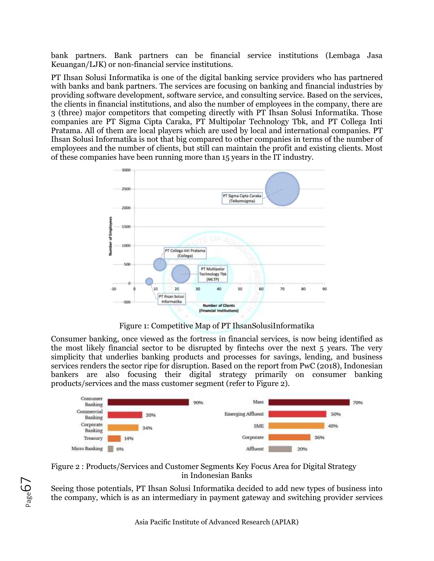bank partners. Bank partners can be financial service institutions (Lembaga Jasa Keuangan/LJK) or non-financial service institutions.

PT Ihsan Solusi Informatika is one of the digital banking service providers who has partnered with banks and bank partners. The services are focusing on banking and financial industries by providing software development, software service, and consulting service. Based on the services, the clients in financial institutions, and also the number of employees in the company, there are 3 (three) major competitors that competing directly with PT Ihsan Solusi Informatika. Those companies are PT Sigma Cipta Caraka, PT Multipolar Technology Tbk, and PT Collega Inti Pratama. All of them are local players which are used by local and international companies. PT Ihsan Solusi Informatika is not that big compared to other companies in terms of the number of employees and the number of clients, but still can maintain the profit and existing clients. Most of these companies have been running more than 15 years in the IT industry.



Figure 1: Competitive Map of PT IhsanSolusiInformatika

Consumer banking, once viewed as the fortress in financial services, is now being identified as the most likely financial sector to be disrupted by fintechs over the next 5 years. The very simplicity that underlies banking products and processes for savings, lending, and business services renders the sector ripe for disruption. Based on the report from PwC (2018), Indonesian bankers are also focusing their digital strategy primarily on consumer banking products/services and the mass customer segment (refer to Figure 2).





 $\sum_{\text{age}}$ 

Seeing those potentials, PT Ihsan Solusi Informatika decided to add new types of business into the company, which is as an intermediary in payment gateway and switching provider services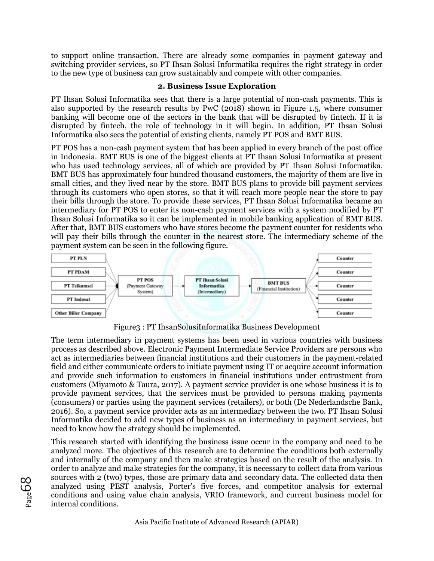to support online transaction. There are already some companies in payment gateway and switching provider services, so PT Ihsan Solusi Informatika requires the right strategy in order to the new type of business can grow sustainably and compete with other companies.

# **2. Business Issue Exploration**

PT Ihsan Solusi Informatika sees that there is a large potential of non-cash payments. This is also supported by the research results by PwC (2018) shown in Figure 1.5, where consumer banking will become one of the sectors in the bank that will be disrupted by fintech. If it is disrupted by fintech, the role of technology in it will begin. In addition, PT Ihsan Solusi Informatika also sees the potential of existing clients, namely PT POS and BMT BUS.

PT POS has a non-cash payment system that has been applied in every branch of the post office in Indonesia. BMT BUS is one of the biggest clients at PT Ihsan Solusi Informatika at present who has used technology services, all of which are provided by PT Ihsan Solusi Informatika. BMT BUS has approximately four hundred thousand customers, the majority of them are live in small cities, and they lived near by the store. BMT BUS plans to provide bill payment services through its customers who open stores, so that it will reach more people near the store to pay their bills through the store. To provide these services, PT Ihsan Solusi Informatika became an intermediary for PT POS to enter its non-cash payment services with a system modified by PT Ihsan Solusi Informatika so it can be implemented in mobile banking application of BMT BUS. After that, BMT BUS customers who have stores become the payment counter for residents who will pay their bills through the counter in the nearest store. The intermediary scheme of the payment system can be seen in the following figure.



Figure3 : PT IhsanSolusiInformatika Business Development

The term intermediary in payment systems has been used in various countries with business process as described above. Electronic Payment Intermediate Service Providers are persons who act as intermediaries between financial institutions and their customers in the payment-related field and either communicate orders to initiate payment using IT or acquire account information and provide such information to customers in financial institutions under entrustment from customers (Miyamoto & Taura, 2017). A payment service provider is one whose business it is to provide payment services, that the services must be provided to persons making payments (consumers) or parties using the payment services (retailers), or both (De Nederlandsche Bank, 2016). So, a payment service provider acts as an intermediary between the two. PT Ihsan Solusi Informatika decided to add new types of business as an intermediary in payment services, but need to know how the strategy should be implemented.

This research started with identifying the business issue occur in the company and need to be analyzed more. The objectives of this research are to determine the conditions both externally and internally of the company and then make strategies based on the result of the analysis. In order to analyze and make strategies for the company, it is necessary to collect data from various sources with 2 (two) types, those are primary data and secondary data. The collected data then analyzed using PEST analysis, Porter's five forces, and competitor analysis for external conditions and using value chain analysis, VRIO framework, and current business model for internal conditions.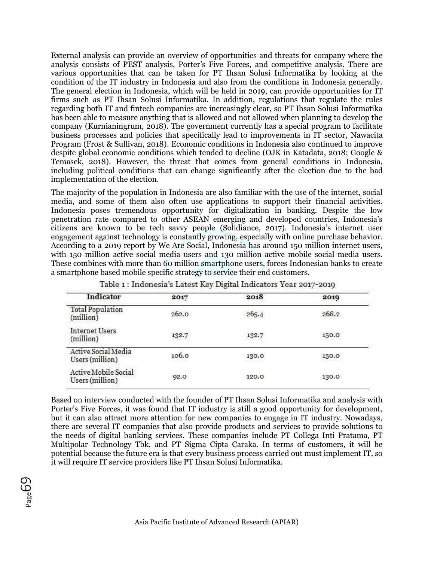External analysis can provide an overview of opportunities and threats for company where the analysis consists of PEST analysis, Porter's Five Forces, and competitive analysis. There are various opportunities that can be taken for PT Ihsan Solusi Informatika by looking at the condition of the IT industry in Indonesia and also from the conditions in Indonesia generally. The general election in Indonesia, which will be held in 2019, can provide opportunities for IT firms such as PT Ihsan Solusi Informatika. In addition, regulations that regulate the rules regarding both IT and fintech companies are increasingly clear, so PT Ihsan Solusi Informatika has been able to measure anything that is allowed and not allowed when planning to develop the company (Kurnianingrum, 2018). The government currently has a special program to facilitate business processes and policies that specifically lead to improvements in IT sector, Nawacita Program (Frost & Sullivan, 2018). Economic conditions in Indonesia also continued to improve despite global economic conditions which tended to decline (OJK in Katadata, 2018; Google & Temasek, 2018). However, the threat that comes from general conditions in Indonesia, including political conditions that can change significantly after the election due to the bad implementation of the election.

The majority of the population in Indonesia are also familiar with the use of the internet, social media, and some of them also often use applications to support their financial activities. Indonesia poses tremendous opportunity for digitalization in banking. Despite the low penetration rate compared to other ASEAN emerging and developed countries, Indonesia's citizens are known to be tech savvy people (Solidiance, 2017). Indonesia's internet user engagement against technology is constantly growing, especially with online purchase behavior. According to a 2019 report by We Are Social, Indonesia has around 150 million internet users, with 150 million active social media users and 130 million active mobile social media users. These combines with more than 60 million smartphone users, forces Indonesian banks to create a smartphone based mobile specific strategy to service their end customers.

| Indicator                               | 2017                                   | 2018  | 2019  |
|-----------------------------------------|----------------------------------------|-------|-------|
| <b>Total Population</b><br>(million)    | 262.0                                  | 265.4 | 268.2 |
| <b>Internet Users</b><br>(million)      | 132.7                                  | 132.7 | 150.0 |
| Active Social Media<br>Users (million)  | 106.0<br><b><i><u>Property</u></i></b> | 130.0 | 150.0 |
| Active Mobile Social<br>Users (million) | 92.0                                   | 120.0 | 130.0 |

Table 1: Indonesia's Latest Key Digital Indicators Year 2017-2010

Based on interview conducted with the founder of PT Ihsan Solusi Informatika and analysis with Porter's Five Forces, it was found that IT industry is still a good opportunity for development, but it can also attract more attention for new companies to engage in IT industry. Nowadays, there are several IT companies that also provide products and services to provide solutions to the needs of digital banking services. These companies include PT Collega Inti Pratama, PT Multipolar Technology Tbk, and PT Sigma Cipta Caraka. In terms of customers, it will be potential because the future era is that every business process carried out must implement IT, so it will require IT service providers like PT Ihsan Solusi Informatika.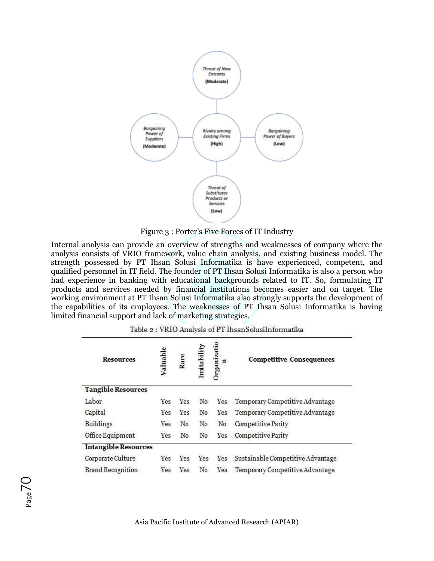

Figure 3 : Porter's Five Forces of IT Industry

Internal analysis can provide an overview of strengths and weaknesses of company where the analysis consists of VRIO framework, value chain analysis, and existing business model. The strength possessed by PT Ihsan Solusi Informatika is have experienced, competent, and qualified personnel in IT field. The founder of PT Ihsan Solusi Informatika is also a person who had experience in banking with educational backgrounds related to IT. So, formulating IT products and services needed by financial institutions becomes easier and on target. The working environment at PT Ihsan Solusi Informatika also strongly supports the development of the capabilities of its employees. The weaknesses of PT Ihsan Solusi Informatika is having limited financial support and lack of marketing strategies.

|  |  |  | Table 2 : VRIO Analysis of PT IhsanSolusiInformatika |
|--|--|--|------------------------------------------------------|
|--|--|--|------------------------------------------------------|

| <b>Resources</b>            | Valuable | Rare | mtabil | <b>Prganizatio</b><br>٥ | <b>Competitive Consequences</b>     |
|-----------------------------|----------|------|--------|-------------------------|-------------------------------------|
| <b>Tangible Resources</b>   |          |      |        |                         |                                     |
| Labor                       | Yes      | Yes  | No     |                         | Yes Temporary Competitive Advantage |
| Capital                     | Yes      | Yes  | No     | Yes                     | Temporary Competitive Advantage     |
| <b>Buildings</b>            | Yes      | No   | No     | No                      | Competitive Parity                  |
| Office Equipment            | Yes      | No   | No     | Yes                     | Competitive Parity                  |
| <b>Intangible Resources</b> |          |      |        |                         |                                     |
| Corporate Culture           | Yes      | Yes  | Yes    | Yes                     | Sustainable Competitive Advantage   |
| <b>Brand Recognition</b>    | Yes      | Yes  | No.    | Yes                     | Temporary Competitive Advantage     |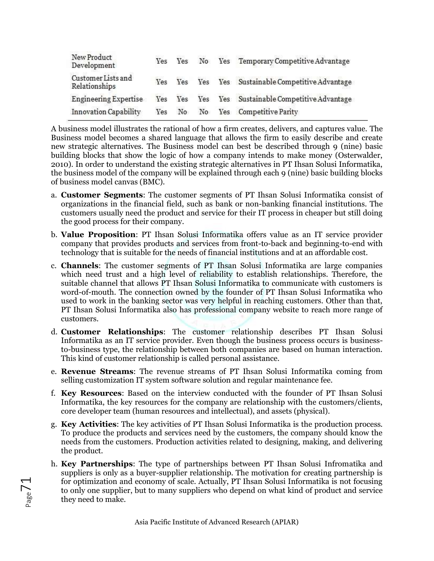| New Product<br>Development          | Yes |    |  | Yes No Yes Temporary Competitive Advantage        |
|-------------------------------------|-----|----|--|---------------------------------------------------|
| Customer Lists and<br>Relationships | Yes |    |  | Yes Yes Yes Sustainable Competitive Advantage     |
| <b>Engineering Expertise</b>        |     |    |  | Yes Yes Yes Yes Sustainable Competitive Advantage |
| <b>Innovation Capability</b>        | Yes | No |  | No Yes Competitive Parity                         |

A business model illustrates the rational of how a firm creates, delivers, and captures value. The Business model becomes a shared language that allows the firm to easily describe and create new strategic alternatives. The Business model can best be described through 9 (nine) basic building blocks that show the logic of how a company intends to make money (Osterwalder, 2010). In order to understand the existing strategic alternatives in PT Ihsan Solusi Informatika, the business model of the company will be explained through each 9 (nine) basic building blocks of business model canvas (BMC).

- a. **Customer Segments**: The customer segments of PT Ihsan Solusi Informatika consist of organizations in the financial field, such as bank or non-banking financial institutions. The customers usually need the product and service for their IT process in cheaper but still doing the good process for their company.
- b. **Value Proposition**: PT Ihsan Solusi Informatika offers value as an IT service provider company that provides products and services from front-to-back and beginning-to-end with technology that is suitable for the needs of financial institutions and at an affordable cost.
- c. **Channels**: The customer segments of PT Ihsan Solusi Informatika are large companies which need trust and a high level of reliability to establish relationships. Therefore, the suitable channel that allows PT Ihsan Solusi Informatika to communicate with customers is word-of-mouth. The connection owned by the founder of PT Ihsan Solusi Informatika who used to work in the banking sector was very helpful in reaching customers. Other than that, PT Ihsan Solusi Informatika also has professional company website to reach more range of customers.
- d. **Customer Relationships**: The customer relationship describes PT Ihsan Solusi Informatika as an IT service provider. Even though the business process occurs is businessto-business type, the relationship between both companies are based on human interaction. This kind of customer relationship is called personal assistance.
- e. **Revenue Streams**: The revenue streams of PT Ihsan Solusi Informatika coming from selling customization IT system software solution and regular maintenance fee.
- f. **Key Resources**: Based on the interview conducted with the founder of PT Ihsan Solusi Informatika, the key resources for the company are relationship with the customers/clients, core developer team (human resources and intellectual), and assets (physical).
- g. **Key Activities**: The key activities of PT Ihsan Solusi Informatika is the production process. To produce the products and services need by the customers, the company should know the needs from the customers. Production activities related to designing, making, and delivering the product.
- h. **Key Partnerships**: The type of partnerships between PT Ihsan Solusi Infromatika and suppliers is only as a buyer-supplier relationship. The motivation for creating partnership is for optimization and economy of scale. Actually, PT Ihsan Solusi Informatika is not focusing to only one supplier, but to many suppliers who depend on what kind of product and service they need to make.

l<br>Page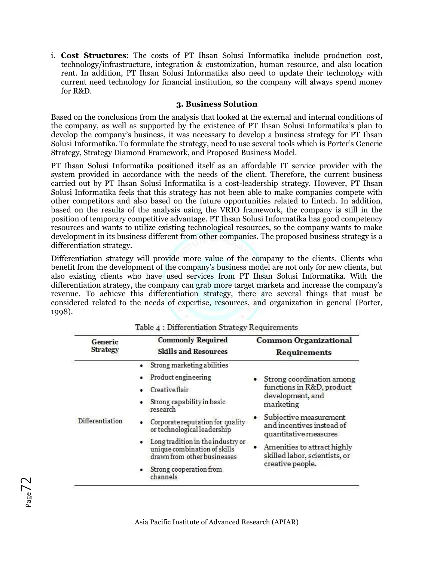i. **Cost Structures**: The costs of PT Ihsan Solusi Informatika include production cost, technology/infrastructure, integration & customization, human resource, and also location rent. In addition, PT Ihsan Solusi Informatika also need to update their technology with current need technology for financial institution, so the company will always spend money for R&D.

# **3. Business Solution**

Based on the conclusions from the analysis that looked at the external and internal conditions of the company, as well as supported by the existence of PT Ihsan Solusi Informatika's plan to develop the company's business, it was necessary to develop a business strategy for PT Ihsan Solusi Informatika. To formulate the strategy, need to use several tools which is Porter's Generic Strategy, Strategy Diamond Framework, and Proposed Business Model.

PT Ihsan Solusi Informatika positioned itself as an affordable IT service provider with the system provided in accordance with the needs of the client. Therefore, the current business carried out by PT Ihsan Solusi Informatika is a cost-leadership strategy. However, PT Ihsan Solusi Informatika feels that this strategy has not been able to make companies compete with other competitors and also based on the future opportunities related to fintech. In addition, based on the results of the analysis using the VRIO framework, the company is still in the position of temporary competitive advantage. PT Ihsan Solusi Informatika has good competency resources and wants to utilize existing technological resources, so the company wants to make development in its business different from other companies. The proposed business strategy is a differentiation strategy.

Differentiation strategy will provide more value of the company to the clients. Clients who benefit from the development of the company's business model are not only for new clients, but also existing clients who have used services from PT Ihsan Solusi Informatika. With the differentiation strategy, the company can grab more target markets and increase the company's revenue. To achieve this differentiation strategy, there are several things that must be considered related to the needs of expertise, resources, and organization in general (Porter, 1998).

| Generic         | <b>Commonly Required</b>                                                                                                                                                                                                                                                                                                             | <b>Common Organizational</b>                                                                                                                                                                                                                                |
|-----------------|--------------------------------------------------------------------------------------------------------------------------------------------------------------------------------------------------------------------------------------------------------------------------------------------------------------------------------------|-------------------------------------------------------------------------------------------------------------------------------------------------------------------------------------------------------------------------------------------------------------|
| <b>Strategy</b> | <b>Skills and Resources</b>                                                                                                                                                                                                                                                                                                          | <b>Requirements</b>                                                                                                                                                                                                                                         |
| Differentiation | Strong marketing abilities<br>• Product engineering<br><b>Creative flair</b><br>Strong capability in basic<br>research<br>Corporate reputation for quality<br>or technological leadership<br>Long tradition in the industry or<br>unique combination of skills<br>drawn from other businesses<br>Strong cooperation from<br>channels | Strong coordination among<br>functions in R&D, product<br>development, and<br>marketing<br>Subjective measurement<br>and incentives instead of<br>quantitative measures<br>Amenities to attract highly<br>skilled labor, scientists, or<br>creative people. |

Table 4 : Differentiation Strategy Requirements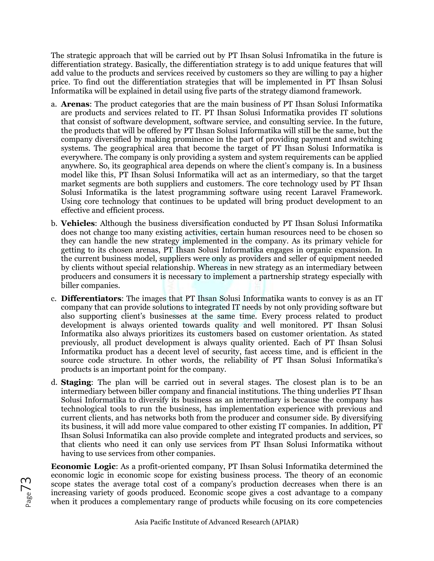The strategic approach that will be carried out by PT Ihsan Solusi Infromatika in the future is differentiation strategy. Basically, the differentiation strategy is to add unique features that will add value to the products and services received by customers so they are willing to pay a higher price. To find out the differentiation strategies that will be implemented in PT Ihsan Solusi Informatika will be explained in detail using five parts of the strategy diamond framework.

- a. **Arenas**: The product categories that are the main business of PT Ihsan Solusi Informatika are products and services related to IT. PT Ihsan Solusi Informatika provides IT solutions that consist of software development, software service, and consulting service. In the future, the products that will be offered by PT Ihsan Solusi Informatika will still be the same, but the company diversified by making prominence in the part of providing payment and switching systems. The geographical area that become the target of PT Ihsan Solusi Informatika is everywhere. The company is only providing a system and system requirements can be applied anywhere. So, its geographical area depends on where the client's company is. In a business model like this, PT Ihsan Solusi Informatika will act as an intermediary, so that the target market segments are both suppliers and customers. The core technology used by PT Ihsan Solusi Informatika is the latest programming software using recent Laravel Framework. Using core technology that continues to be updated will bring product development to an effective and efficient process.
- b. **Vehicles**: Although the business diversification conducted by PT Ihsan Solusi Informatika does not change too many existing activities, certain human resources need to be chosen so they can handle the new strategy implemented in the company. As its primary vehicle for getting to its chosen arenas, PT Ihsan Solusi Informatika engages in organic expansion. In the current business model, suppliers were only as providers and seller of equipment needed by clients without special relationship. Whereas in new strategy as an intermediary between producers and consumers it is necessary to implement a partnership strategy especially with biller companies.
- c. **Differentiators**: The images that PT Ihsan Solusi Informatika wants to convey is as an IT company that can provide solutions to integrated IT needs by not only providing software but also supporting client's businesses at the same time. Every process related to product development is always oriented towards quality and well monitored. PT Ihsan Solusi Informatika also always prioritizes its customers based on customer orientation. As stated previously, all product development is always quality oriented. Each of PT Ihsan Solusi Informatika product has a decent level of security, fast access time, and is efficient in the source code structure. In other words, the reliability of PT Ihsan Solusi Informatika's products is an important point for the company.
- d. **Staging**: The plan will be carried out in several stages. The closest plan is to be an intermediary between biller company and financial institutions. The thing underlies PT Ihsan Solusi Informatika to diversify its business as an intermediary is because the company has technological tools to run the business, has implementation experience with previous and current clients, and has networks both from the producer and consumer side. By diversifying its business, it will add more value compared to other existing IT companies. In addition, PT Ihsan Solusi Informatika can also provide complete and integrated products and services, so that clients who need it can only use services from PT Ihsan Solusi Informatika without having to use services from other companies.

**Economic Logic**: As a profit-oriented company, PT Ihsan Solusi Informatika determined the economic logic in economic scope for existing business process. The theory of an economic scope states the average total cost of a company's production decreases when there is an increasing variety of goods produced. Economic scope gives a cost advantage to a company when it produces a complementary range of products while focusing on its core competencies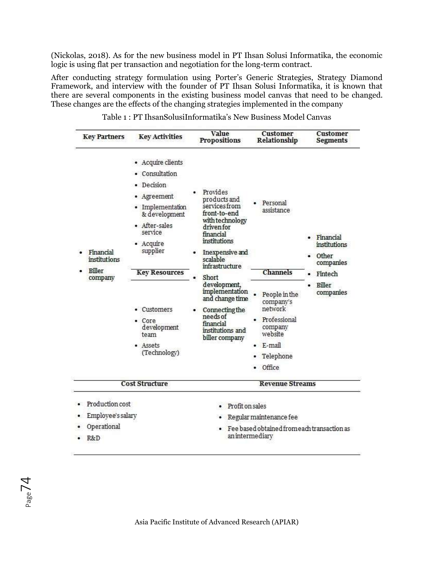(Nickolas, 2018). As for the new business model in PT Ihsan Solusi Informatika, the economic logic is using flat per transaction and negotiation for the long-term contract.

After conducting strategy formulation using Porter's Generic Strategies, Strategy Diamond Framework, and interview with the founder of PT Ihsan Solusi Informatika, it is known that there are several components in the existing business model canvas that need to be changed. These changes are the effects of the changing strategies implemented in the company

| <b>Key Partners</b>                                        | <b>Key Activities</b>                                                                                                                                                                                                                                        | Value<br><b>Propositions</b>                                                                                                                                                                                                                                                                                            | <b>Customer</b><br><b>Relationship</b>                                                                                                                    | <b>Customer</b><br><b>Segments</b>                                                         |
|------------------------------------------------------------|--------------------------------------------------------------------------------------------------------------------------------------------------------------------------------------------------------------------------------------------------------------|-------------------------------------------------------------------------------------------------------------------------------------------------------------------------------------------------------------------------------------------------------------------------------------------------------------------------|-----------------------------------------------------------------------------------------------------------------------------------------------------------|--------------------------------------------------------------------------------------------|
| Financial<br><i>institutions</i><br>Biller<br>company      | • Acquire clients<br>• Consultation<br>· Decision<br>Agreement<br>• Implementation<br>& development<br>· After-sales<br>service<br>• Acquire<br>supplier<br><b>Key Resources</b><br>• Customers<br>• Core<br>development<br>team<br>• Assets<br>(Technology) | Provides<br>products and<br>services from<br>front-to-end<br>with technology<br>driven for<br>financial<br>institutions<br>Inexpensive and<br>scalable<br>infrastructure<br>Short<br>development,<br>implementation<br>and change time<br>Connecting the<br>needs of<br>financial<br>institutions and<br>biller company | Personal<br>assistance<br><b>Channels</b><br>People in the<br>company's<br>network<br>Professional<br>company<br>website<br>E-mail<br>Telephone<br>Office | Financial<br><i>institutions</i><br>• Other<br>companies<br>Fintech<br>Biller<br>companies |
|                                                            | <b>Cost Structure</b>                                                                                                                                                                                                                                        |                                                                                                                                                                                                                                                                                                                         | <b>Revenue Streams</b>                                                                                                                                    |                                                                                            |
| Production cost<br>Employee's salary<br>Operational<br>R&D |                                                                                                                                                                                                                                                              | Profit on sales                                                                                                                                                                                                                                                                                                         | Regular maintenance fee<br>Fee based obtained from each transaction as<br>an intermediary                                                                 |                                                                                            |

|--|

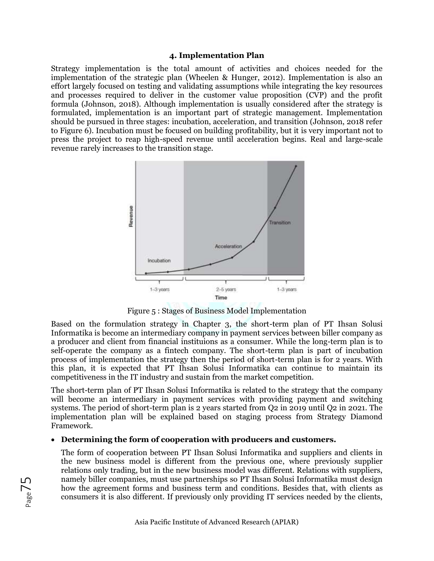### **4. Implementation Plan**

Strategy implementation is the total amount of activities and choices needed for the implementation of the strategic plan (Wheelen & Hunger, 2012). Implementation is also an effort largely focused on testing and validating assumptions while integrating the key resources and processes required to deliver in the customer value proposition (CVP) and the profit formula (Johnson, 2018). Although implementation is usually considered after the strategy is formulated, implementation is an important part of strategic management. Implementation should be pursued in three stages: incubation, acceleration, and transition (Johnson, 2018 refer to Figure 6). Incubation must be focused on building profitability, but it is very important not to press the project to reap high-speed revenue until acceleration begins. Real and large-scale revenue rarely increases to the transition stage.



Figure 5 : Stages of Business Model Implementation

Based on the formulation strategy in Chapter 3, the short-term plan of PT Ihsan Solusi Informatika is become an intermediary company in payment services between biller company as a producer and client from financial instituions as a consumer. While the long-term plan is to self-operate the company as a fintech company. The short-term plan is part of incubation process of implementation the strategy then the period of short-term plan is for 2 years. With this plan, it is expected that PT Ihsan Solusi Informatika can continue to maintain its competitiveness in the IT industry and sustain from the market competition.

The short-term plan of PT Ihsan Solusi Informatika is related to the strategy that the company will become an intermediary in payment services with providing payment and switching systems. The period of short-term plan is 2 years started from Q2 in 2019 until Q2 in 2021. The implementation plan will be explained based on staging process from Strategy Diamond Framework.

### • **Determining the form of cooperation with producers and customers.**

The form of cooperation between PT Ihsan Solusi Informatika and suppliers and clients in the new business model is different from the previous one, where previously supplier relations only trading, but in the new business model was different. Relations with suppliers, namely biller companies, must use partnerships so PT Ihsan Solusi Informatika must design how the agreement forms and business term and conditions. Besides that, with clients as consumers it is also different. If previously only providing IT services needed by the clients,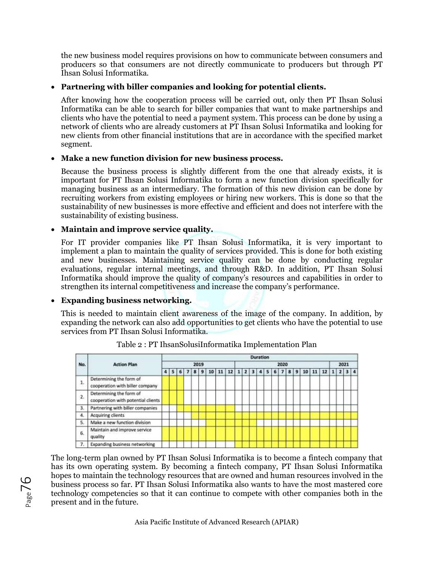the new business model requires provisions on how to communicate between consumers and producers so that consumers are not directly communicate to producers but through PT Ihsan Solusi Informatika.

# • **Partnering with biller companies and looking for potential clients.**

After knowing how the cooperation process will be carried out, only then PT Ihsan Solusi Informatika can be able to search for biller companies that want to make partnerships and clients who have the potential to need a payment system. This process can be done by using a network of clients who are already customers at PT Ihsan Solusi Informatika and looking for new clients from other financial institutions that are in accordance with the specified market segment.

# • **Make a new function division for new business process.**

Because the business process is slightly different from the one that already exists, it is important for PT Ihsan Solusi Informatika to form a new function division specifically for managing business as an intermediary. The formation of this new division can be done by recruiting workers from existing employees or hiring new workers. This is done so that the sustainability of new businesses is more effective and efficient and does not interfere with the sustainability of existing business.

# • **Maintain and improve service quality.**

For IT provider companies like PT Ihsan Solusi Informatika, it is very important to implement a plan to maintain the quality of services provided. This is done for both existing and new businesses. Maintaining service quality can be done by conducting regular evaluations, regular internal meetings, and through R&D. In addition, PT Ihsan Solusi Informatika should improve the quality of company's resources and capabilities in order to strengthen its internal competitiveness and increase the company's performance.

# • **Expanding business networking.**

This is needed to maintain client awareness of the image of the company. In addition, by expanding the network can also add opportunities to get clients who have the potential to use services from PT Ihsan Solusi Informatika.



Table 2 : PT IhsanSolusiInformatika Implementation Plan

The long-term plan owned by PT Ihsan Solusi Informatika is to become a fintech company that has its own operating system. By becoming a fintech company, PT Ihsan Solusi Informatika hopes to maintain the technology resources that are owned and human resources involved in the business process so far. PT Ihsan Solusi Informatika also wants to have the most mastered core technology competencies so that it can continue to compete with other companies both in the present and in the future.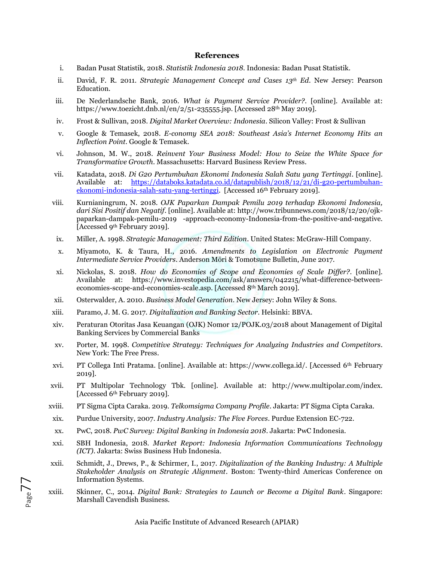#### **References**

- i. Badan Pusat Statistik, 2018. *Statistik Indonesia 2018*. Indonesia: Badan Pusat Statistik.
- ii. David, F. R. 2011. *Strategic Management Concept and Cases 13th Ed*. New Jersey: Pearson Education.
- iii. De Nederlandsche Bank, 2016. *What is Payment Service Provider?*. [online]. Available at: [https://www.toezicht.dnb.nl/en/2/51-235555.jsp.](https://www.toezicht.dnb.nl/en/2/51-235555.jsp) [Accessed 28th May 2019].
- iv. Frost & Sullivan, 2018. *Digital Market Overview: Indonesia*. Silicon Valley: Frost & Sullivan
- v. Google & Temasek, 2018. *E-conomy SEA 2018: Southeast Asia's Internet Economy Hits an Inflection Point*. Google & Temasek.
- vi. Johnson, M. W., 2018. *Reinvent Your Business Model: How to Seize the White Space for Transformative Growth*. Massachusetts: Harvard Business Review Press.
- vii. Katadata, 2018. *Di G20 Pertumbuhan Ekonomi Indonesia Salah Satu yang Tertinggi*. [online]. Available at: [https://databoks.katadata.co.id/datapublish/2018/12/21/di-g20-pertumbuhan](https://databoks.katadata.co.id/datapublish/2018/12/21/di-g20-pertumbuhan-ekonomi-indonesia-salah-satu-yang-tertinggi)[ekonomi-indonesia-salah-satu-yang-tertinggi.](https://databoks.katadata.co.id/datapublish/2018/12/21/di-g20-pertumbuhan-ekonomi-indonesia-salah-satu-yang-tertinggi) [Accessed 16th February 2019].
- viii. Kurnianingrum, N. 2018. *OJK Paparkan Dampak Pemilu 2019 terhadap Ekonomi Indonesia, dari Sisi Positif dan Negatif*. [online]. Available at: http://wow.tribunnews.com/2018/12/20/ojkpaparkan-dampak-pemilu-2019 -approach-economy-Indonesia-from-the-positive-and-negative. [Accessed 9th February 2019].
- ix. Miller, A. 1998. *Strategic Management: Third Edition*. United States: McGraw-Hill Company.
- x. Miyamoto, K. & Taura, H., 2016. *Amendments to Legislation on Electronic Payment Intermediate Service Providers*. Anderson Mōri & Tomotsune Bulletin, June 2017.
- xi. Nickolas, S. 2018. *How do Economies of Scope and Economies of Scale Differ?*. [online]. Available at: https://www.investopedia.com/ask/answers/042215/what-difference-betweeneconomies-scope-and-economies-scale.asp. [Accessed 8th March 2019].
- xii. Osterwalder, A. 2010. *Business Model Generation*. New Jersey: John Wiley & Sons.
- xiii. Paramo, J. M. G. 2017. *Digitalization and Banking Sector*. Helsinki: BBVA.
- xiv. Peraturan Otoritas Jasa Keuangan (OJK) Nomor 12/POJK.03/2018 about Management of Digital Banking Services by Commercial Banks
- xv. Porter, M. 1998. *Competitive Strategy: Techniques for Analyzing Industries and Competitors*. New York: The Free Press.
- xvi. PT Collega Inti Pratama. [online]. Available at: https://www.collega.id/. [Accessed 6th February 2019].
- xvii. PT Multipolar Technology Tbk. [online]. Available at: http://www.multipolar.com/index. [Accessed 6th February 2019].
- xviii. PT Sigma Cipta Caraka. 2019. *Telkomsigma Company Profile*. Jakarta: PT Sigma Cipta Caraka.
- xix. Purdue University, 2007. *Industry Analysis: The Five Forces*. Purdue Extension EC-722.
- xx. PwC, 2018. *PwC Survey: Digital Banking in Indonesia 2018*. Jakarta: PwC Indonesia.

Page7'

- xxi. SBH Indonesia, 2018. *Market Report: Indonesia Information Communications Technology (ICT).* Jakarta: Swiss Business Hub Indonesia.
- xxii. Schmidt, J., Drews, P., & Schirmer, I., 2017. *Digitalization of the Banking Industry: A Multiple Stakeholder Analysis on Strategic Alignment*. Boston: Twenty-third Americas Conference on Information Systems.
- xxiii. Skinner, C., 2014. *Digital Bank: Strategies to Launch or Become a Digital Bank*. Singapore: Marshall Cavendish Business.